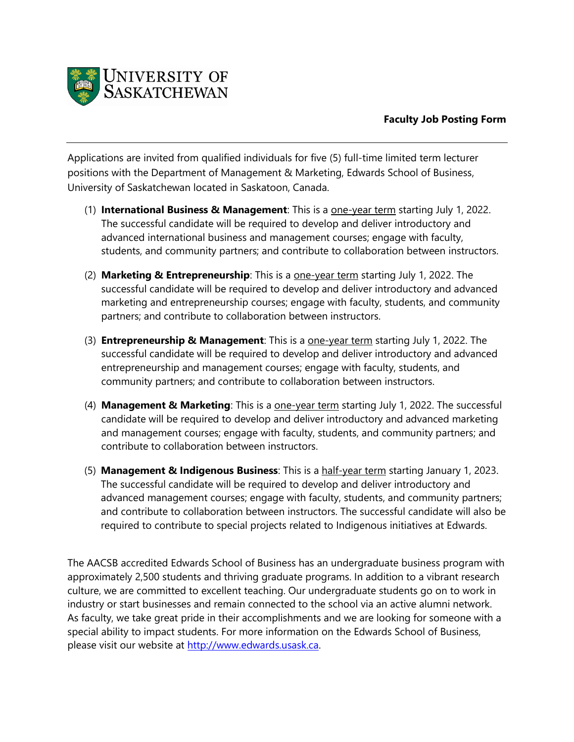

## **Faculty Job Posting Form**

Applications are invited from qualified individuals for five (5) full-time limited term lecturer positions with the Department of Management & Marketing, Edwards School of Business, University of Saskatchewan located in Saskatoon, Canada.

- (1) **International Business & Management**: This is a one-year term starting July 1, 2022. The successful candidate will be required to develop and deliver introductory and advanced international business and management courses; engage with faculty, students, and community partners; and contribute to collaboration between instructors.
- (2) **Marketing & Entrepreneurship**: This is a one-year term starting July 1, 2022. The successful candidate will be required to develop and deliver introductory and advanced marketing and entrepreneurship courses; engage with faculty, students, and community partners; and contribute to collaboration between instructors.
- (3) **Entrepreneurship & Management**: This is a one-year term starting July 1, 2022. The successful candidate will be required to develop and deliver introductory and advanced entrepreneurship and management courses; engage with faculty, students, and community partners; and contribute to collaboration between instructors.
- (4) **Management & Marketing**: This is a one-year term starting July 1, 2022. The successful candidate will be required to develop and deliver introductory and advanced marketing and management courses; engage with faculty, students, and community partners; and contribute to collaboration between instructors.
- (5) **Management & Indigenous Business**: This is a half-year term starting January 1, 2023. The successful candidate will be required to develop and deliver introductory and advanced management courses; engage with faculty, students, and community partners; and contribute to collaboration between instructors. The successful candidate will also be required to contribute to special projects related to Indigenous initiatives at Edwards.

The AACSB accredited Edwards School of Business has an undergraduate business program with approximately 2,500 students and thriving graduate programs. In addition to a vibrant research culture, we are committed to excellent teaching. Our undergraduate students go on to work in industry or start businesses and remain connected to the school via an active alumni network. As faculty, we take great pride in their accomplishments and we are looking for someone with a special ability to impact students. For more information on the Edwards School of Business, please visit our website at [http://www.edwards.usask.ca.](http://www.edwards.usask.ca/)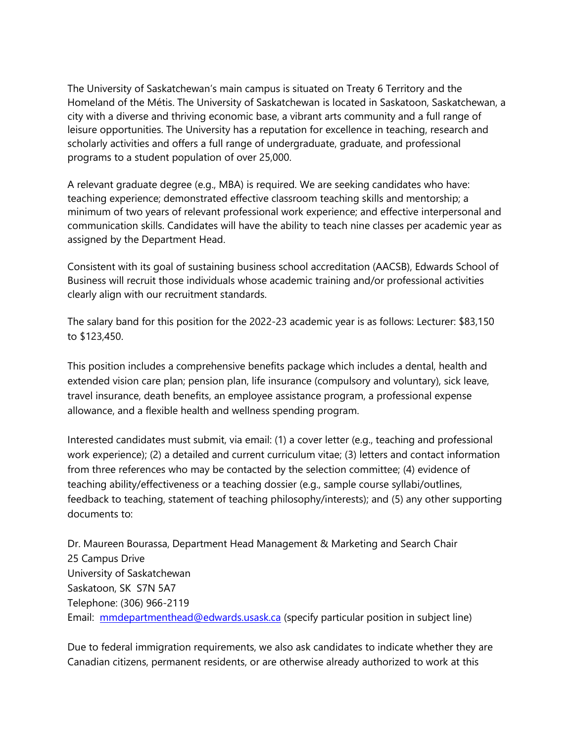The University of Saskatchewan's main campus is situated on Treaty 6 Territory and the Homeland of the Métis. The University of Saskatchewan is located in Saskatoon, Saskatchewan, a city with a diverse and thriving economic base, a vibrant arts community and a full range of leisure opportunities. The University has a reputation for excellence in teaching, research and scholarly activities and offers a full range of undergraduate, graduate, and professional programs to a student population of over 25,000.

A relevant graduate degree (e.g., MBA) is required. We are seeking candidates who have: teaching experience; demonstrated effective classroom teaching skills and mentorship; a minimum of two years of relevant professional work experience; and effective interpersonal and communication skills. Candidates will have the ability to teach nine classes per academic year as assigned by the Department Head.

Consistent with its goal of sustaining business school accreditation (AACSB), Edwards School of Business will recruit those individuals whose academic training and/or professional activities clearly align with our recruitment standards.

The salary band for this position for the 2022-23 academic year is as follows: Lecturer: \$83,150 to \$123,450.

This position includes a comprehensive benefits package which includes a dental, health and extended vision care plan; pension plan, life insurance (compulsory and voluntary), sick leave, travel insurance, death benefits, an employee assistance program, a professional expense allowance, and a flexible health and wellness spending program.

Interested candidates must submit, via email: (1) a cover letter (e.g., teaching and professional work experience); (2) a detailed and current curriculum vitae; (3) letters and contact information from three references who may be contacted by the selection committee; (4) evidence of teaching ability/effectiveness or a teaching dossier (e.g., sample course syllabi/outlines, feedback to teaching, statement of teaching philosophy/interests); and (5) any other supporting documents to:

Dr. Maureen Bourassa, Department Head Management & Marketing and Search Chair 25 Campus Drive University of Saskatchewan Saskatoon, SK S7N 5A7 Telephone: (306) 966-2119 Email: [mmdepartmenthead@edwards.usask.ca](mailto:mmdepartmenthead@edwards.usask.ca) (specify particular position in subject line)

Due to federal immigration requirements, we also ask candidates to indicate whether they are Canadian citizens, permanent residents, or are otherwise already authorized to work at this